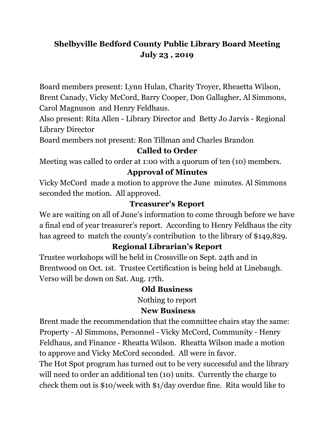# **Shelbyville Bedford County Public Library Board Meeting July 23 , 2019**

Board members present: Lynn Hulan, Charity Troyer, Rheaetta Wilson, Brent Canady, Vicky McCord, Barry Cooper, Don Gallagher, Al Simmons, Carol Magnuson and Henry Feldhaus.

Also present: Rita Allen - Library Director and Betty Jo Jarvis - Regional Library Director

Board members not present: Ron Tillman and Charles Brandon

#### **Called to Order**

Meeting was called to order at 1:00 with a quorum of ten (10) members.

# **Approval of Minutes**

Vicky McCord made a motion to approve the June minutes. Al Simmons seconded the motion. All approved.

### **Treasurer's Report**

We are waiting on all of June's information to come through before we have a final end of year treasurer's report. According to Henry Feldhaus the city has agreed to match the county's contribution to the library of \$149,829.

# **Regional Librarian's Report**

Trustee workshops will be held in Crossville on Sept. 24th and in Brentwood on Oct. 1st. Trustee Certification is being held at Linebaugh. Verso will be down on Sat. Aug. 17th.

#### **Old Business**

Nothing to report

#### **New Business**

Brent made the recommendation that the committee chairs stay the same: Property - Al Simmons, Personnel - Vicky McCord, Community - Henry Feldhaus, and Finance - Rheatta Wilson. Rheatta Wilson made a motion to approve and Vicky McCord seconded. All were in favor.

The Hot Spot program has turned out to be very successful and the library will need to order an additional ten (10) units. Currently the charge to check them out is \$10/week with \$1/day overdue fine. Rita would like to